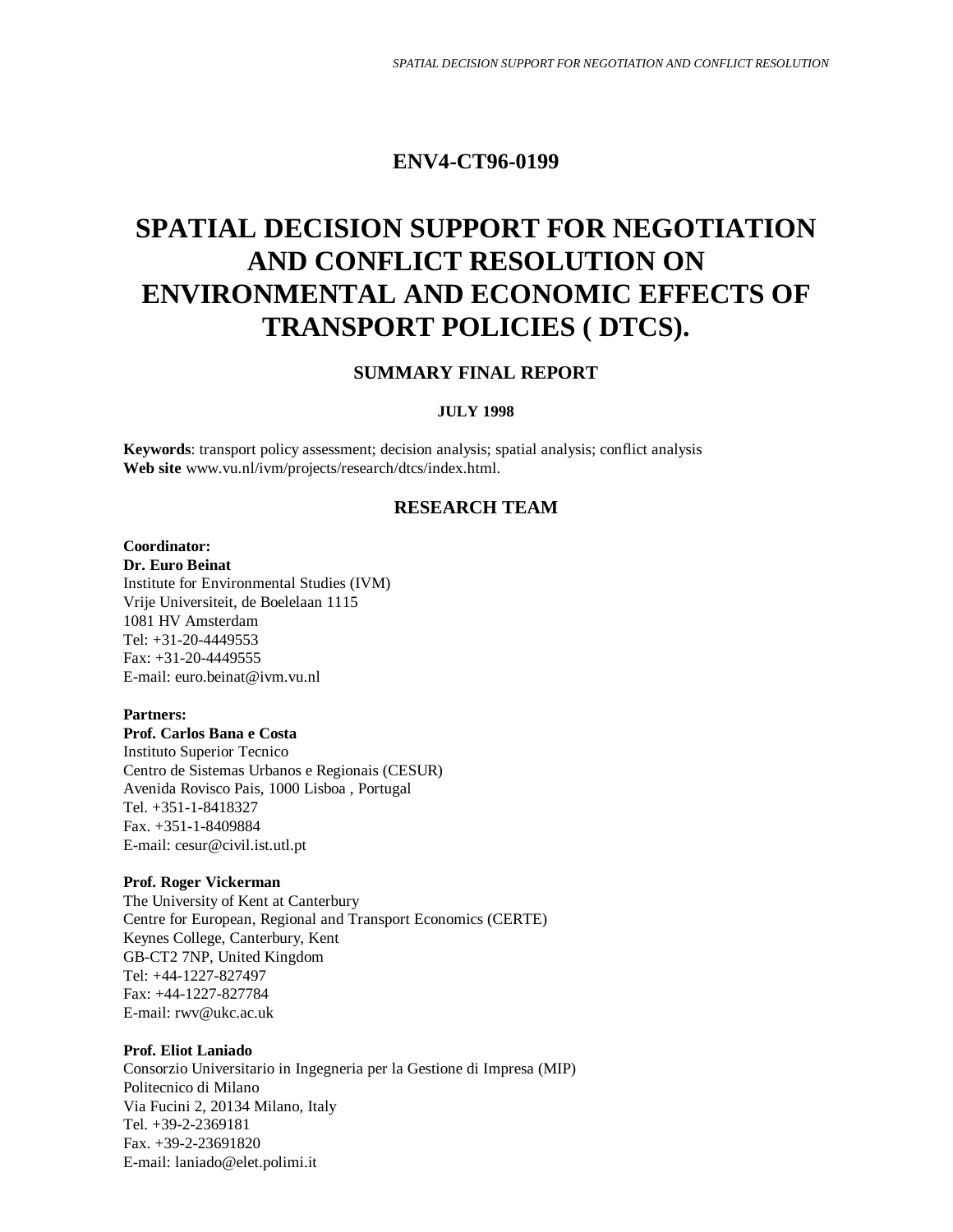# **ENV4-CT96-0199**

# **SPATIAL DECISION SUPPORT FOR NEGOTIATION AND CONFLICT RESOLUTION ON ENVIRONMENTAL AND ECONOMIC EFFECTS OF TRANSPORT POLICIES ( DTCS).**

## **SUMMARY FINAL REPORT**

## **JULY 1998**

**Keywords**: transport policy assessment; decision analysis; spatial analysis; conflict analysis **Web site** www.vu.nl/ivm/projects/research/dtcs/index.html.

## **RESEARCH TEAM**

## **Coordinator:**

**Dr. Euro Beinat** Institute for Environmental Studies (IVM) Vrije Universiteit, de Boelelaan 1115 1081 HV Amsterdam Tel: +31-20-4449553 Fax: +31-20-4449555 E-mail: euro.beinat@ivm.vu.nl

#### **Partners:**

**Prof. Carlos Bana e Costa** Instituto Superior Tecnico Centro de Sistemas Urbanos e Regionais (CESUR) Avenida Rovisco Pais, 1000 Lisboa , Portugal Tel. +351-1-8418327 Fax. +351-1-8409884 E-mail: cesur@civil.ist.utl.pt

#### **Prof. Roger Vickerman**

The University of Kent at Canterbury Centre for European, Regional and Transport Economics (CERTE) Keynes College, Canterbury, Kent GB-CT2 7NP, United Kingdom Tel: +44-1227-827497 Fax: +44-1227-827784 E-mail: rwv@ukc.ac.uk

## **Prof. Eliot Laniado**

Consorzio Universitario in Ingegneria per la Gestione di Impresa (MIP) Politecnico di Milano Via Fucini 2, 20134 Milano, Italy Tel. +39-2-2369181 Fax. +39-2-23691820 E-mail: laniado@elet.polimi.it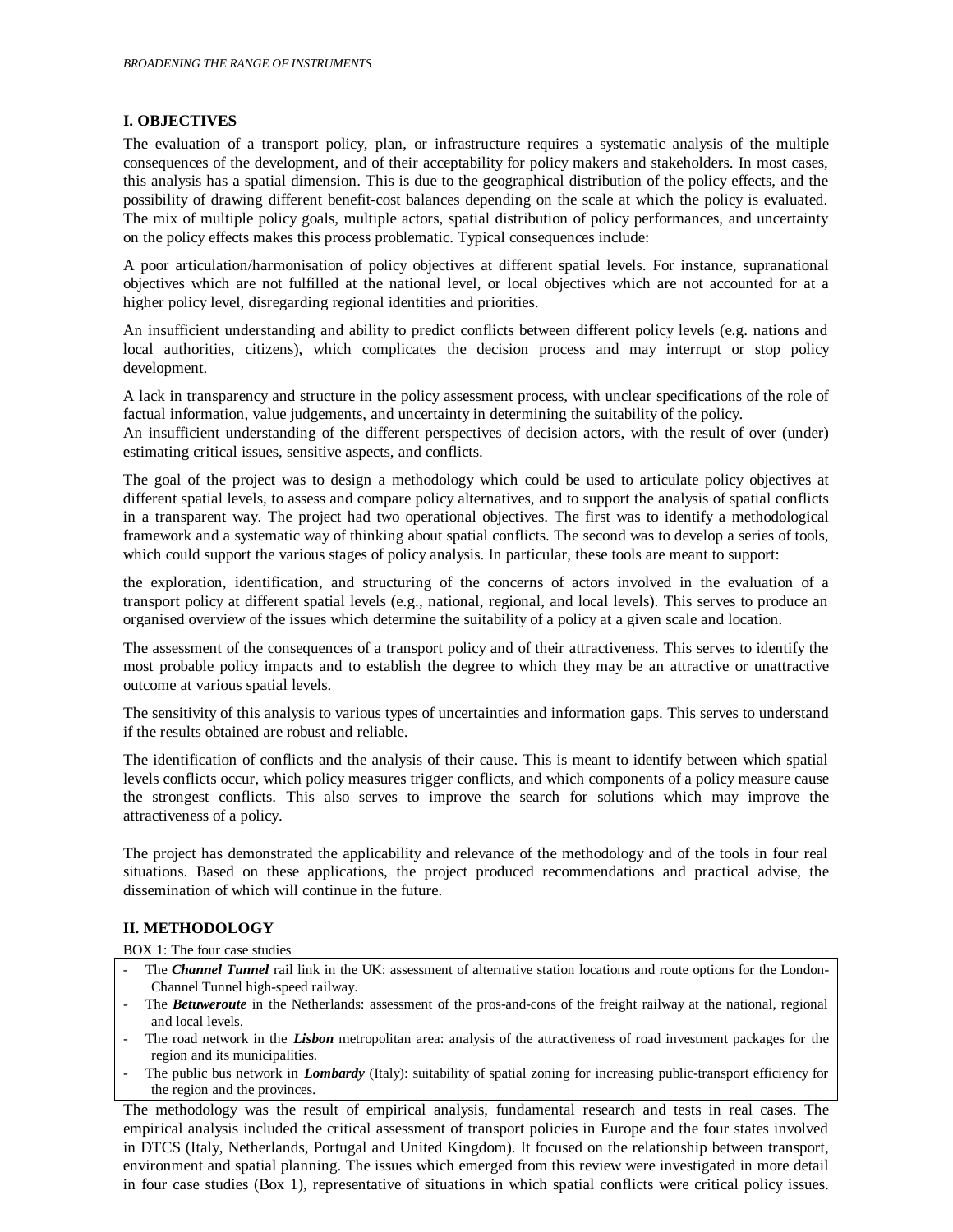## **I. OBJECTIVES**

The evaluation of a transport policy, plan, or infrastructure requires a systematic analysis of the multiple consequences of the development, and of their acceptability for policy makers and stakeholders. In most cases, this analysis has a spatial dimension. This is due to the geographical distribution of the policy effects, and the possibility of drawing different benefit-cost balances depending on the scale at which the policy is evaluated. The mix of multiple policy goals, multiple actors, spatial distribution of policy performances, and uncertainty on the policy effects makes this process problematic. Typical consequences include:

A poor articulation/harmonisation of policy objectives at different spatial levels. For instance, supranational objectives which are not fulfilled at the national level, or local objectives which are not accounted for at a higher policy level, disregarding regional identities and priorities.

An insufficient understanding and ability to predict conflicts between different policy levels (e.g. nations and local authorities, citizens), which complicates the decision process and may interrupt or stop policy development.

A lack in transparency and structure in the policy assessment process, with unclear specifications of the role of factual information, value judgements, and uncertainty in determining the suitability of the policy.

An insufficient understanding of the different perspectives of decision actors, with the result of over (under) estimating critical issues, sensitive aspects, and conflicts.

The goal of the project was to design a methodology which could be used to articulate policy objectives at different spatial levels, to assess and compare policy alternatives, and to support the analysis of spatial conflicts in a transparent way. The project had two operational objectives. The first was to identify a methodological framework and a systematic way of thinking about spatial conflicts. The second was to develop a series of tools, which could support the various stages of policy analysis. In particular, these tools are meant to support:

the exploration, identification, and structuring of the concerns of actors involved in the evaluation of a transport policy at different spatial levels (e.g., national, regional, and local levels). This serves to produce an organised overview of the issues which determine the suitability of a policy at a given scale and location.

The assessment of the consequences of a transport policy and of their attractiveness. This serves to identify the most probable policy impacts and to establish the degree to which they may be an attractive or unattractive outcome at various spatial levels.

The sensitivity of this analysis to various types of uncertainties and information gaps. This serves to understand if the results obtained are robust and reliable.

The identification of conflicts and the analysis of their cause. This is meant to identify between which spatial levels conflicts occur, which policy measures trigger conflicts, and which components of a policy measure cause the strongest conflicts. This also serves to improve the search for solutions which may improve the attractiveness of a policy.

The project has demonstrated the applicability and relevance of the methodology and of the tools in four real situations. Based on these applications, the project produced recommendations and practical advise, the dissemination of which will continue in the future.

## **II. METHODOLOGY**

BOX 1: The four case studies

- The *Channel Tunnel* rail link in the UK: assessment of alternative station locations and route options for the London-Channel Tunnel high-speed railway.
- The *Betuweroute* in the Netherlands: assessment of the pros-and-cons of the freight railway at the national, regional and local levels.
- The road network in the *Lisbon* metropolitan area: analysis of the attractiveness of road investment packages for the region and its municipalities.
- The public bus network in *Lombardy* (Italy): suitability of spatial zoning for increasing public-transport efficiency for the region and the provinces.

The methodology was the result of empirical analysis, fundamental research and tests in real cases. The empirical analysis included the critical assessment of transport policies in Europe and the four states involved in DTCS (Italy, Netherlands, Portugal and United Kingdom). It focused on the relationship between transport, environment and spatial planning. The issues which emerged from this review were investigated in more detail in four case studies (Box 1), representative of situations in which spatial conflicts were critical policy issues.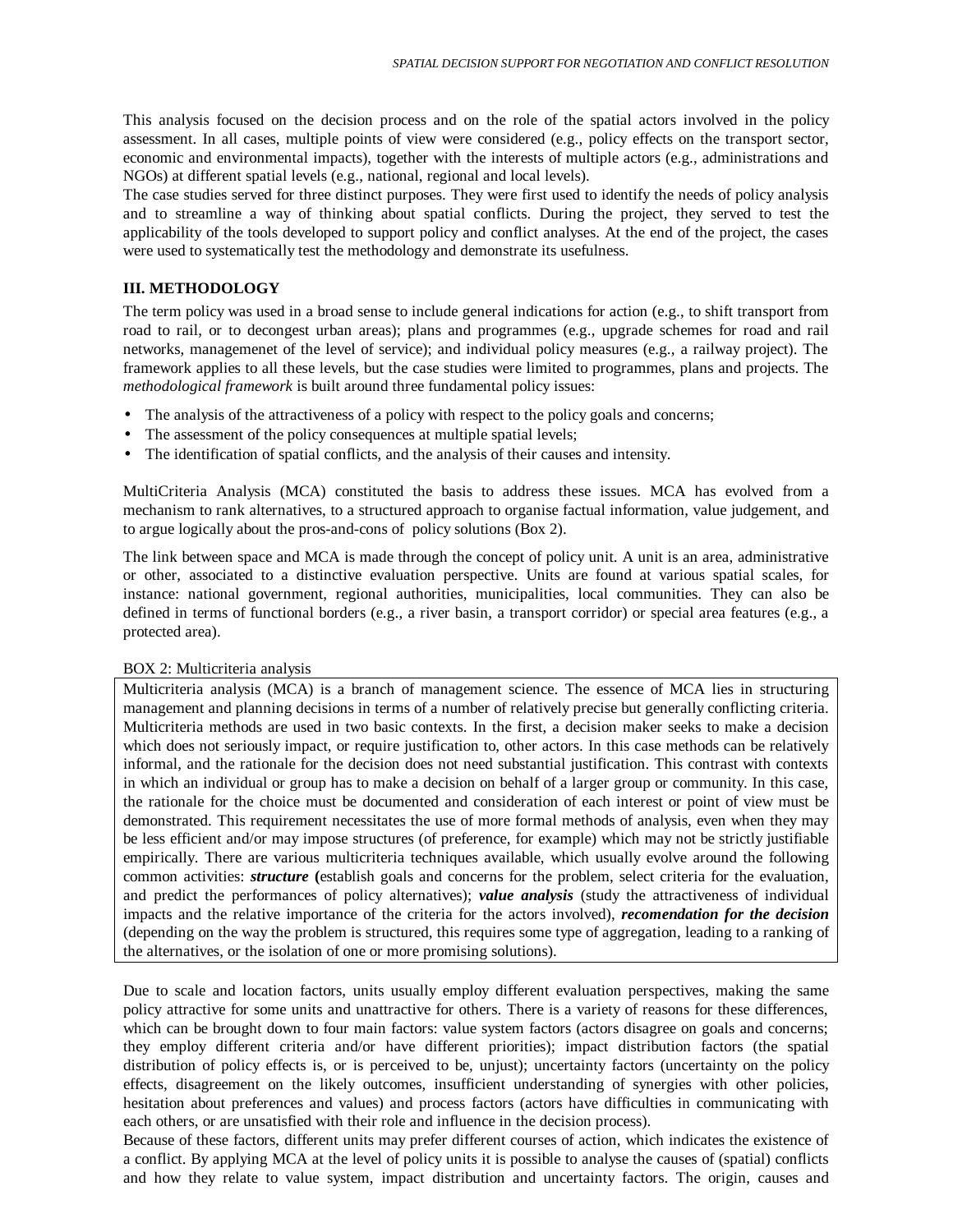This analysis focused on the decision process and on the role of the spatial actors involved in the policy assessment. In all cases, multiple points of view were considered (e.g., policy effects on the transport sector, economic and environmental impacts), together with the interests of multiple actors (e.g., administrations and NGOs) at different spatial levels (e.g., national, regional and local levels).

The case studies served for three distinct purposes. They were first used to identify the needs of policy analysis and to streamline a way of thinking about spatial conflicts. During the project, they served to test the applicability of the tools developed to support policy and conflict analyses. At the end of the project, the cases were used to systematically test the methodology and demonstrate its usefulness.

#### **III. METHODOLOGY**

The term policy was used in a broad sense to include general indications for action (e.g., to shift transport from road to rail, or to decongest urban areas); plans and programmes (e.g., upgrade schemes for road and rail networks, managemenet of the level of service); and individual policy measures (e.g., a railway project). The framework applies to all these levels, but the case studies were limited to programmes, plans and projects. The *methodological framework* is built around three fundamental policy issues:

- The analysis of the attractiveness of a policy with respect to the policy goals and concerns;
- The assessment of the policy consequences at multiple spatial levels;
- The identification of spatial conflicts, and the analysis of their causes and intensity.

MultiCriteria Analysis (MCA) constituted the basis to address these issues. MCA has evolved from a mechanism to rank alternatives, to a structured approach to organise factual information, value judgement, and to argue logically about the pros-and-cons of policy solutions (Box 2).

The link between space and MCA is made through the concept of policy unit. A unit is an area, administrative or other, associated to a distinctive evaluation perspective. Units are found at various spatial scales, for instance: national government, regional authorities, municipalities, local communities. They can also be defined in terms of functional borders (e.g., a river basin, a transport corridor) or special area features (e.g., a protected area).

### BOX 2: Multicriteria analysis

Multicriteria analysis (MCA) is a branch of management science. The essence of MCA lies in structuring management and planning decisions in terms of a number of relatively precise but generally conflicting criteria. Multicriteria methods are used in two basic contexts. In the first, a decision maker seeks to make a decision which does not seriously impact, or require justification to, other actors. In this case methods can be relatively informal, and the rationale for the decision does not need substantial justification. This contrast with contexts in which an individual or group has to make a decision on behalf of a larger group or community. In this case, the rationale for the choice must be documented and consideration of each interest or point of view must be demonstrated. This requirement necessitates the use of more formal methods of analysis, even when they may be less efficient and/or may impose structures (of preference, for example) which may not be strictly justifiable empirically. There are various multicriteria techniques available, which usually evolve around the following common activities: *structure* **(**establish goals and concerns for the problem, select criteria for the evaluation, and predict the performances of policy alternatives); *value analysis* (study the attractiveness of individual impacts and the relative importance of the criteria for the actors involved), *recomendation for the decision* (depending on the way the problem is structured, this requires some type of aggregation, leading to a ranking of the alternatives, or the isolation of one or more promising solutions).

Due to scale and location factors, units usually employ different evaluation perspectives, making the same policy attractive for some units and unattractive for others. There is a variety of reasons for these differences, which can be brought down to four main factors: value system factors (actors disagree on goals and concerns; they employ different criteria and/or have different priorities); impact distribution factors (the spatial distribution of policy effects is, or is perceived to be, unjust); uncertainty factors (uncertainty on the policy effects, disagreement on the likely outcomes, insufficient understanding of synergies with other policies, hesitation about preferences and values) and process factors (actors have difficulties in communicating with each others, or are unsatisfied with their role and influence in the decision process).

Because of these factors, different units may prefer different courses of action, which indicates the existence of a conflict. By applying MCA at the level of policy units it is possible to analyse the causes of (spatial) conflicts and how they relate to value system, impact distribution and uncertainty factors. The origin, causes and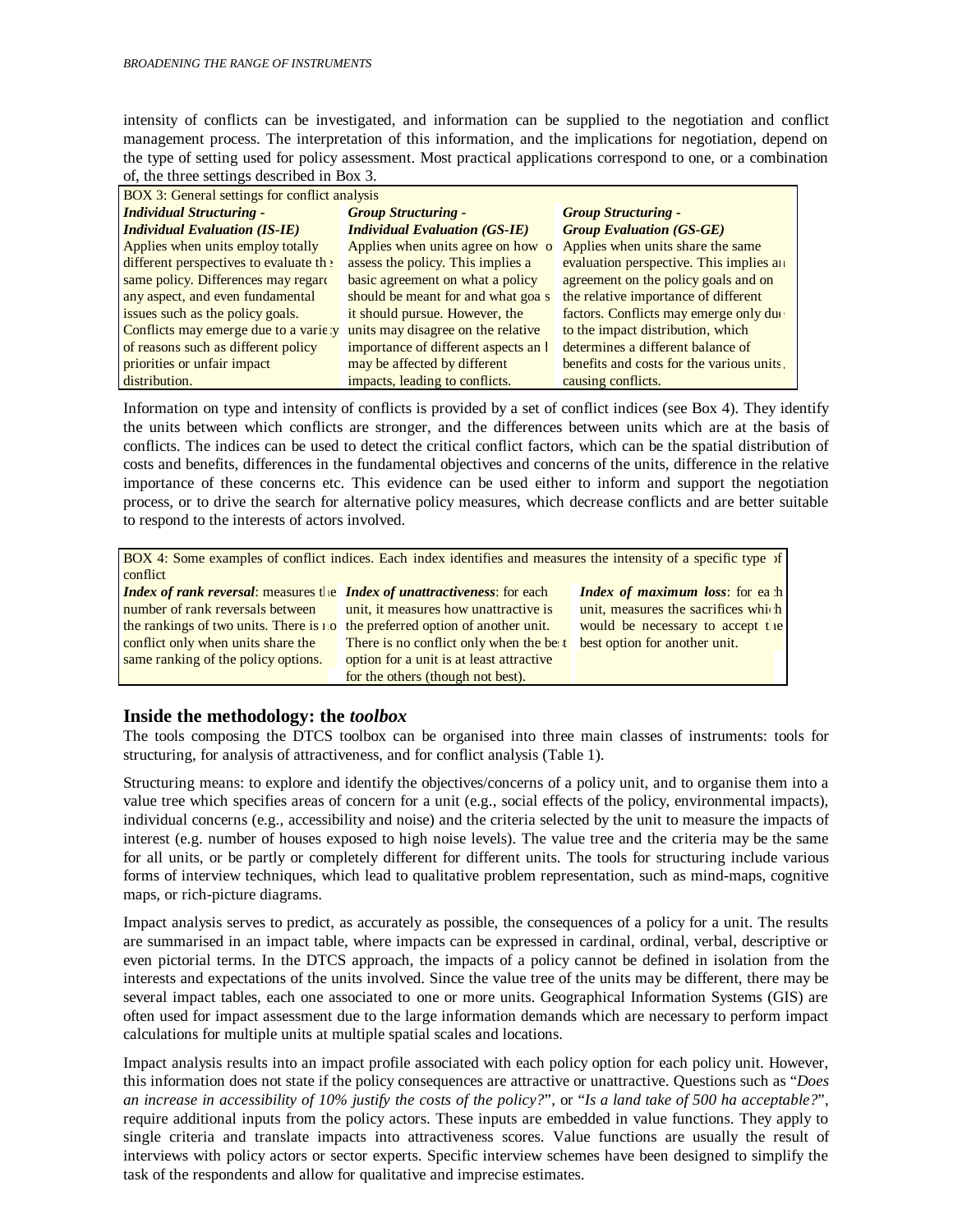intensity of conflicts can be investigated, and information can be supplied to the negotiation and conflict management process. The interpretation of this information, and the implications for negotiation, depend on the type of setting used for policy assessment. Most practical applications correspond to one, or a combination of, the three settings described in Box 3.

| <b>BOX 3: General settings for conflict analysis</b> |                                      |                                           |  |  |  |
|------------------------------------------------------|--------------------------------------|-------------------------------------------|--|--|--|
| <b>Individual Structuring -</b>                      | <b>Group Structuring -</b>           | <b>Group Structuring -</b>                |  |  |  |
| <b>Individual Evaluation (IS-IE)</b>                 | <b>Individual Evaluation (GS-IE)</b> | <b>Group Evaluation (GS-GE)</b>           |  |  |  |
| Applies when units employ totally                    | Applies when units agree on how o    | Applies when units share the same         |  |  |  |
| different perspectives to evaluate th :              | assess the policy. This implies a    | evaluation perspective. This implies an   |  |  |  |
| same policy. Differences may regard                  | basic agreement on what a policy     | agreement on the policy goals and on      |  |  |  |
| any aspect, and even fundamental                     | should be meant for and what goa's   | the relative importance of different      |  |  |  |
| issues such as the policy goals.                     | it should pursue. However, the       | factors. Conflicts may emerge only due    |  |  |  |
| Conflicts may emerge due to a varie y                | units may disagree on the relative   | to the impact distribution, which         |  |  |  |
| of reasons such as different policy                  | importance of different aspects an l | determines a different balance of         |  |  |  |
| priorities or unfair impact                          | may be affected by different         | benefits and costs for the various units. |  |  |  |
| distribution.                                        | impacts, leading to conflicts.       | causing conflicts.                        |  |  |  |

Information on type and intensity of conflicts is provided by a set of conflict indices (see Box 4). They identify the units between which conflicts are stronger, and the differences between units which are at the basis of conflicts. The indices can be used to detect the critical conflict factors, which can be the spatial distribution of costs and benefits, differences in the fundamental objectives and concerns of the units, difference in the relative importance of these concerns etc. This evidence can be used either to inform and support the negotiation process, or to drive the search for alternative policy measures, which decrease conflicts and are better suitable to respond to the interests of actors involved.

| BOX 4: Some examples of conflict indices. Each index identifies and measures the intensity of a specific type of |                                          |                                          |  |  |  |
|------------------------------------------------------------------------------------------------------------------|------------------------------------------|------------------------------------------|--|--|--|
| conflict                                                                                                         |                                          |                                          |  |  |  |
| <i>Index of rank reversal: measures the Index of unattractiveness: for each</i>                                  |                                          | <b>Index of maximum loss:</b> for ea $h$ |  |  |  |
| number of rank reversals between                                                                                 | unit, it measures how unattractive is    | unit, measures the sacrifices which      |  |  |  |
| the rankings of two units. There is $1.0$                                                                        | the preferred option of another unit.    | would be necessary to accept the         |  |  |  |
| conflict only when units share the                                                                               | There is no conflict only when the be t  | best option for another unit.            |  |  |  |
| same ranking of the policy options.                                                                              | option for a unit is at least attractive |                                          |  |  |  |
|                                                                                                                  | for the others (though not best).        |                                          |  |  |  |

## **Inside the methodology: the** *toolbox*

The tools composing the DTCS toolbox can be organised into three main classes of instruments: tools for structuring, for analysis of attractiveness, and for conflict analysis (Table 1).

Structuring means: to explore and identify the objectives/concerns of a policy unit, and to organise them into a value tree which specifies areas of concern for a unit (e.g., social effects of the policy, environmental impacts), individual concerns (e.g., accessibility and noise) and the criteria selected by the unit to measure the impacts of interest (e.g. number of houses exposed to high noise levels). The value tree and the criteria may be the same for all units, or be partly or completely different for different units. The tools for structuring include various forms of interview techniques, which lead to qualitative problem representation, such as mind-maps, cognitive maps, or rich-picture diagrams.

Impact analysis serves to predict, as accurately as possible, the consequences of a policy for a unit. The results are summarised in an impact table, where impacts can be expressed in cardinal, ordinal, verbal, descriptive or even pictorial terms. In the DTCS approach, the impacts of a policy cannot be defined in isolation from the interests and expectations of the units involved. Since the value tree of the units may be different, there may be several impact tables, each one associated to one or more units. Geographical Information Systems (GIS) are often used for impact assessment due to the large information demands which are necessary to perform impact calculations for multiple units at multiple spatial scales and locations.

Impact analysis results into an impact profile associated with each policy option for each policy unit. However, this information does not state if the policy consequences are attractive or unattractive. Questions such as "*Does an increase in accessibility of 10% justify the costs of the policy?*", or "*Is a land take of 500 ha acceptable?*", require additional inputs from the policy actors. These inputs are embedded in value functions. They apply to single criteria and translate impacts into attractiveness scores. Value functions are usually the result of interviews with policy actors or sector experts. Specific interview schemes have been designed to simplify the task of the respondents and allow for qualitative and imprecise estimates.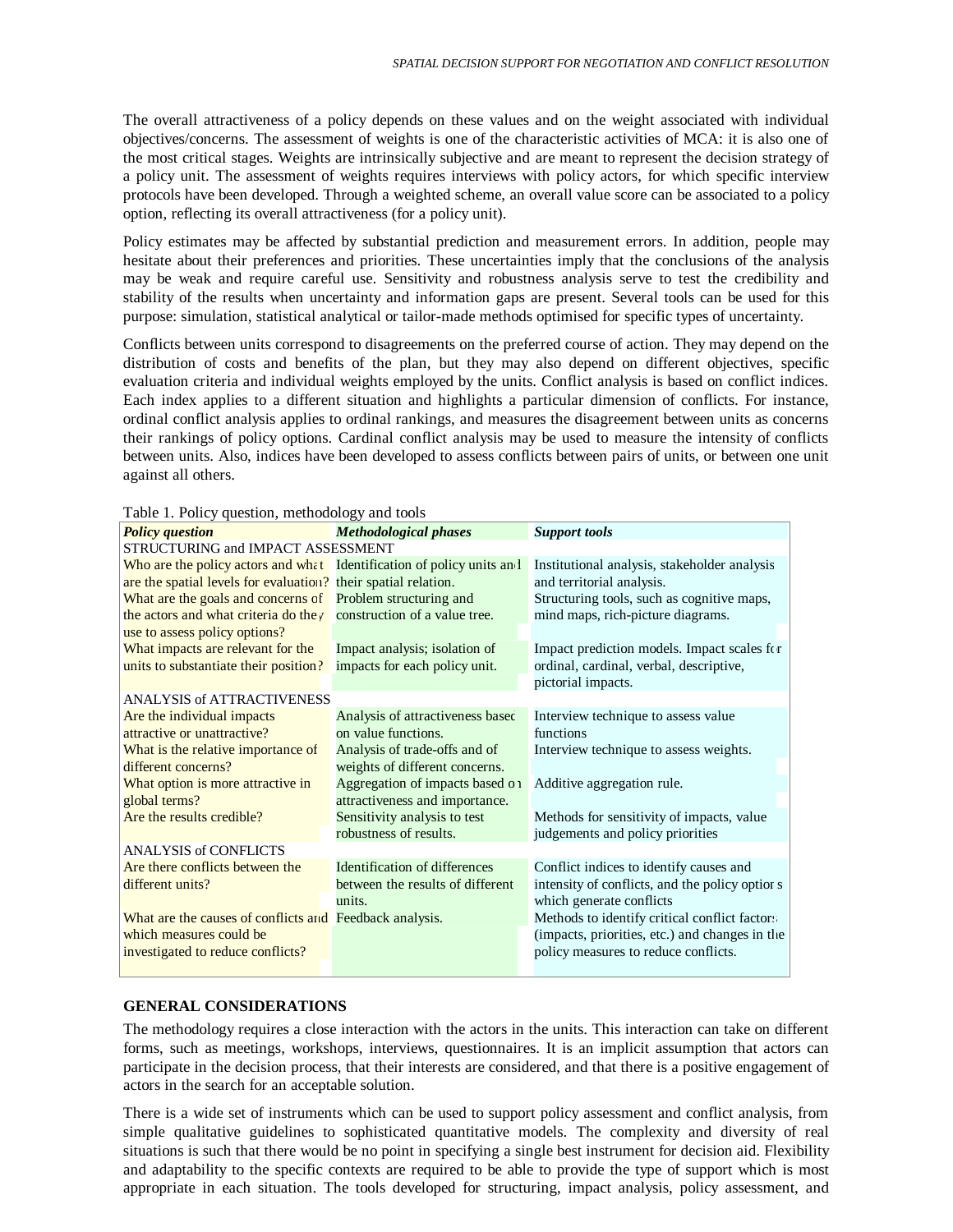The overall attractiveness of a policy depends on these values and on the weight associated with individual objectives/concerns. The assessment of weights is one of the characteristic activities of MCA: it is also one of the most critical stages. Weights are intrinsically subjective and are meant to represent the decision strategy of a policy unit. The assessment of weights requires interviews with policy actors, for which specific interview protocols have been developed. Through a weighted scheme, an overall value score can be associated to a policy option, reflecting its overall attractiveness (for a policy unit).

Policy estimates may be affected by substantial prediction and measurement errors. In addition, people may hesitate about their preferences and priorities. These uncertainties imply that the conclusions of the analysis may be weak and require careful use. Sensitivity and robustness analysis serve to test the credibility and stability of the results when uncertainty and information gaps are present. Several tools can be used for this purpose: simulation, statistical analytical or tailor-made methods optimised for specific types of uncertainty.

Conflicts between units correspond to disagreements on the preferred course of action. They may depend on the distribution of costs and benefits of the plan, but they may also depend on different objectives, specific evaluation criteria and individual weights employed by the units. Conflict analysis is based on conflict indices. Each index applies to a different situation and highlights a particular dimension of conflicts. For instance, ordinal conflict analysis applies to ordinal rankings, and measures the disagreement between units as concerns their rankings of policy options. Cardinal conflict analysis may be used to measure the intensity of conflicts between units. Also, indices have been developed to assess conflicts between pairs of units, or between one unit against all others.

|  |  |  | Table 1. Policy question, methodology and tools |  |
|--|--|--|-------------------------------------------------|--|
|--|--|--|-------------------------------------------------|--|

| raoic 1. 1 onc $f$ question, methodology and tools<br><b>Policy question</b> | <b>Methodological phases</b>     | <b>Support tools</b>                           |  |  |  |  |
|------------------------------------------------------------------------------|----------------------------------|------------------------------------------------|--|--|--|--|
| STRUCTURING and IMPACT ASSESSMENT                                            |                                  |                                                |  |  |  |  |
| Who are the policy actors and what Identification of policy units and        |                                  | Institutional analysis, stakeholder analysis   |  |  |  |  |
| are the spatial levels for evaluation? their spatial relation.               |                                  | and territorial analysis.                      |  |  |  |  |
| What are the goals and concerns of Problem structuring and                   |                                  | Structuring tools, such as cognitive maps,     |  |  |  |  |
| the actors and what criteria do they construction of a value tree.           |                                  | mind maps, rich-picture diagrams.              |  |  |  |  |
| use to assess policy options?                                                |                                  |                                                |  |  |  |  |
| What impacts are relevant for the                                            | Impact analysis; isolation of    | Impact prediction models. Impact scales for    |  |  |  |  |
| units to substantiate their position?                                        | impacts for each policy unit.    | ordinal, cardinal, verbal, descriptive,        |  |  |  |  |
|                                                                              |                                  | pictorial impacts.                             |  |  |  |  |
| <b>ANALYSIS of ATTRACTIVENESS</b>                                            |                                  |                                                |  |  |  |  |
| Are the individual impacts                                                   | Analysis of attractiveness based | Interview technique to assess value            |  |  |  |  |
| attractive or unattractive?                                                  | on value functions.              | functions                                      |  |  |  |  |
| What is the relative importance of                                           | Analysis of trade-offs and of    | Interview technique to assess weights.         |  |  |  |  |
| different concerns?                                                          | weights of different concerns.   |                                                |  |  |  |  |
| What option is more attractive in                                            | Aggregation of impacts based on  | Additive aggregation rule.                     |  |  |  |  |
| global terms?                                                                | attractiveness and importance.   |                                                |  |  |  |  |
| Are the results credible?                                                    | Sensitivity analysis to test     | Methods for sensitivity of impacts, value      |  |  |  |  |
|                                                                              | robustness of results.           | judgements and policy priorities               |  |  |  |  |
| <b>ANALYSIS of CONFLICTS</b>                                                 |                                  |                                                |  |  |  |  |
| Are there conflicts between the                                              | Identification of differences    | Conflict indices to identify causes and        |  |  |  |  |
| different units?                                                             | between the results of different | intensity of conflicts, and the policy options |  |  |  |  |
|                                                                              | units.                           | which generate conflicts                       |  |  |  |  |
| What are the causes of conflicts and Feedback analysis.                      |                                  | Methods to identify critical conflict factors  |  |  |  |  |
| which measures could be                                                      |                                  | (impacts, priorities, etc.) and changes in the |  |  |  |  |
| investigated to reduce conflicts?                                            |                                  | policy measures to reduce conflicts.           |  |  |  |  |
|                                                                              |                                  |                                                |  |  |  |  |

#### **GENERAL CONSIDERATIONS**

The methodology requires a close interaction with the actors in the units. This interaction can take on different forms, such as meetings, workshops, interviews, questionnaires. It is an implicit assumption that actors can participate in the decision process, that their interests are considered, and that there is a positive engagement of actors in the search for an acceptable solution.

There is a wide set of instruments which can be used to support policy assessment and conflict analysis, from simple qualitative guidelines to sophisticated quantitative models. The complexity and diversity of real situations is such that there would be no point in specifying a single best instrument for decision aid. Flexibility and adaptability to the specific contexts are required to be able to provide the type of support which is most appropriate in each situation. The tools developed for structuring, impact analysis, policy assessment, and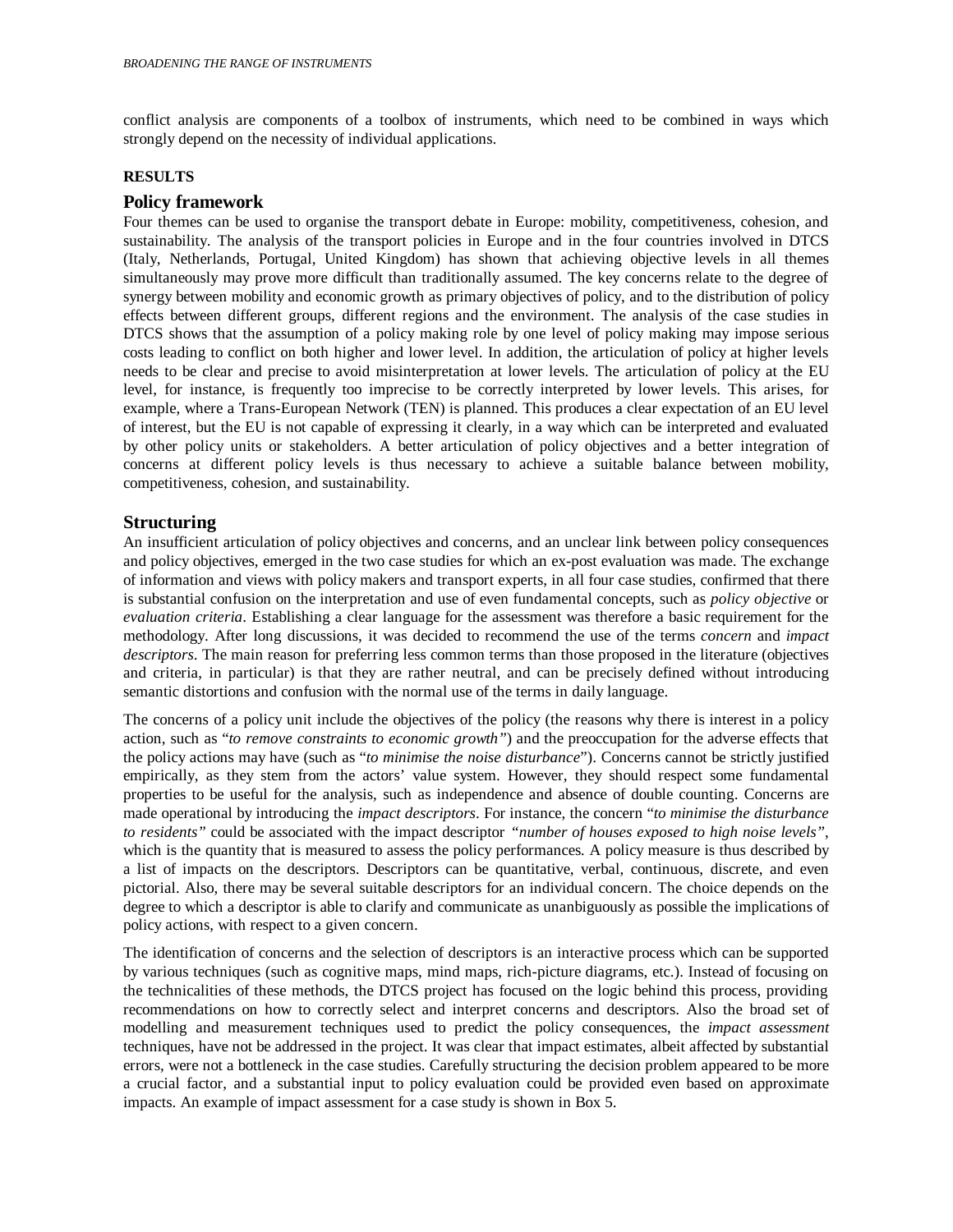conflict analysis are components of a toolbox of instruments, which need to be combined in ways which strongly depend on the necessity of individual applications.

#### **RESULTS**

#### **Policy framework**

Four themes can be used to organise the transport debate in Europe: mobility, competitiveness, cohesion, and sustainability. The analysis of the transport policies in Europe and in the four countries involved in DTCS (Italy, Netherlands, Portugal, United Kingdom) has shown that achieving objective levels in all themes simultaneously may prove more difficult than traditionally assumed. The key concerns relate to the degree of synergy between mobility and economic growth as primary objectives of policy, and to the distribution of policy effects between different groups, different regions and the environment. The analysis of the case studies in DTCS shows that the assumption of a policy making role by one level of policy making may impose serious costs leading to conflict on both higher and lower level. In addition, the articulation of policy at higher levels needs to be clear and precise to avoid misinterpretation at lower levels. The articulation of policy at the EU level, for instance, is frequently too imprecise to be correctly interpreted by lower levels. This arises, for example, where a Trans-European Network (TEN) is planned. This produces a clear expectation of an EU level of interest, but the EU is not capable of expressing it clearly, in a way which can be interpreted and evaluated by other policy units or stakeholders. A better articulation of policy objectives and a better integration of concerns at different policy levels is thus necessary to achieve a suitable balance between mobility, competitiveness, cohesion, and sustainability.

## **Structuring**

An insufficient articulation of policy objectives and concerns, and an unclear link between policy consequences and policy objectives, emerged in the two case studies for which an ex-post evaluation was made. The exchange of information and views with policy makers and transport experts, in all four case studies, confirmed that there is substantial confusion on the interpretation and use of even fundamental concepts, such as *policy objective* or *evaluation criteria*. Establishing a clear language for the assessment was therefore a basic requirement for the methodology. After long discussions, it was decided to recommend the use of the terms *concern* and *impact descriptors*. The main reason for preferring less common terms than those proposed in the literature (objectives and criteria, in particular) is that they are rather neutral, and can be precisely defined without introducing semantic distortions and confusion with the normal use of the terms in daily language.

The concerns of a policy unit include the objectives of the policy (the reasons why there is interest in a policy action, such as "*to remove constraints to economic growth"*) and the preoccupation for the adverse effects that the policy actions may have (such as "*to minimise the noise disturbance*"). Concerns cannot be strictly justified empirically, as they stem from the actors' value system. However, they should respect some fundamental properties to be useful for the analysis, such as independence and absence of double counting. Concerns are made operational by introducing the *impact descriptors*. For instance, the concern "*to minimise the disturbance to residents"* could be associated with the impact descriptor *"number of houses exposed to high noise levels"*, which is the quantity that is measured to assess the policy performances*.* A policy measure is thus described by a list of impacts on the descriptors. Descriptors can be quantitative, verbal, continuous, discrete, and even pictorial. Also, there may be several suitable descriptors for an individual concern. The choice depends on the degree to which a descriptor is able to clarify and communicate as unanbiguously as possible the implications of policy actions, with respect to a given concern.

The identification of concerns and the selection of descriptors is an interactive process which can be supported by various techniques (such as cognitive maps, mind maps, rich-picture diagrams, etc.). Instead of focusing on the technicalities of these methods, the DTCS project has focused on the logic behind this process, providing recommendations on how to correctly select and interpret concerns and descriptors. Also the broad set of modelling and measurement techniques used to predict the policy consequences, the *impact assessment* techniques, have not be addressed in the project. It was clear that impact estimates, albeit affected by substantial errors, were not a bottleneck in the case studies. Carefully structuring the decision problem appeared to be more a crucial factor, and a substantial input to policy evaluation could be provided even based on approximate impacts. An example of impact assessment for a case study is shown in Box 5.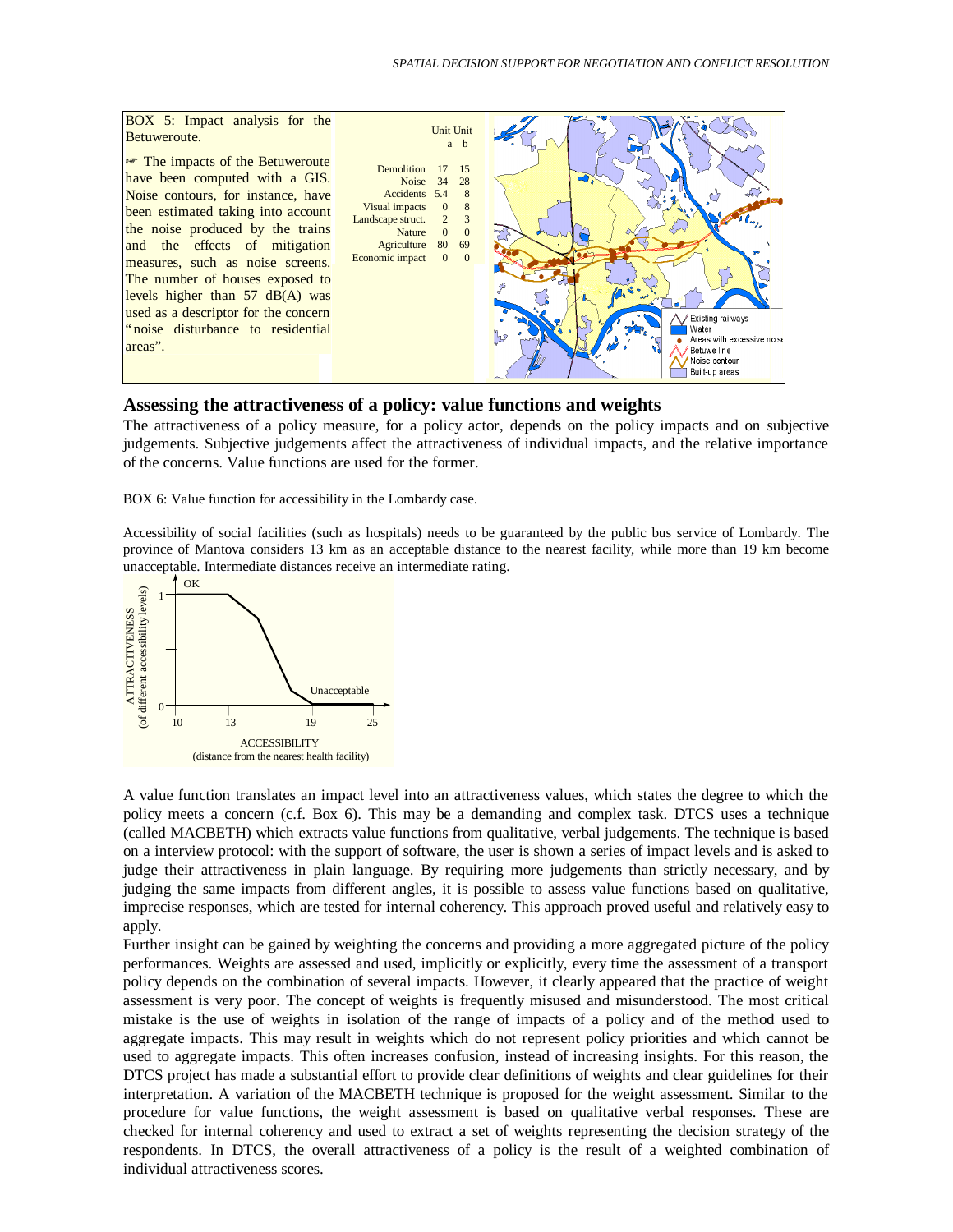

#### **Assessing the attractiveness of a policy: value functions and weights**

The attractiveness of a policy measure, for a policy actor, depends on the policy impacts and on subjective judgements. Subjective judgements affect the attractiveness of individual impacts, and the relative importance of the concerns. Value functions are used for the former.

BOX 6: Value function for accessibility in the Lombardy case.

Accessibility of social facilities (such as hospitals) needs to be guaranteed by the public bus service of Lombardy. The province of Mantova considers 13 km as an acceptable distance to the nearest facility, while more than 19 km become unacceptable. Intermediate distances receive an intermediate rating.



A value function translates an impact level into an attractiveness values, which states the degree to which the policy meets a concern (c.f. Box 6). This may be a demanding and complex task. DTCS uses a technique (called MACBETH) which extracts value functions from qualitative, verbal judgements. The technique is based on a interview protocol: with the support of software, the user is shown a series of impact levels and is asked to judge their attractiveness in plain language. By requiring more judgements than strictly necessary, and by judging the same impacts from different angles, it is possible to assess value functions based on qualitative, imprecise responses, which are tested for internal coherency. This approach proved useful and relatively easy to apply.

Further insight can be gained by weighting the concerns and providing a more aggregated picture of the policy performances. Weights are assessed and used, implicitly or explicitly, every time the assessment of a transport policy depends on the combination of several impacts. However, it clearly appeared that the practice of weight assessment is very poor. The concept of weights is frequently misused and misunderstood. The most critical mistake is the use of weights in isolation of the range of impacts of a policy and of the method used to aggregate impacts. This may result in weights which do not represent policy priorities and which cannot be used to aggregate impacts. This often increases confusion, instead of increasing insights. For this reason, the DTCS project has made a substantial effort to provide clear definitions of weights and clear guidelines for their interpretation. A variation of the MACBETH technique is proposed for the weight assessment. Similar to the procedure for value functions, the weight assessment is based on qualitative verbal responses. These are checked for internal coherency and used to extract a set of weights representing the decision strategy of the respondents. In DTCS, the overall attractiveness of a policy is the result of a weighted combination of individual attractiveness scores.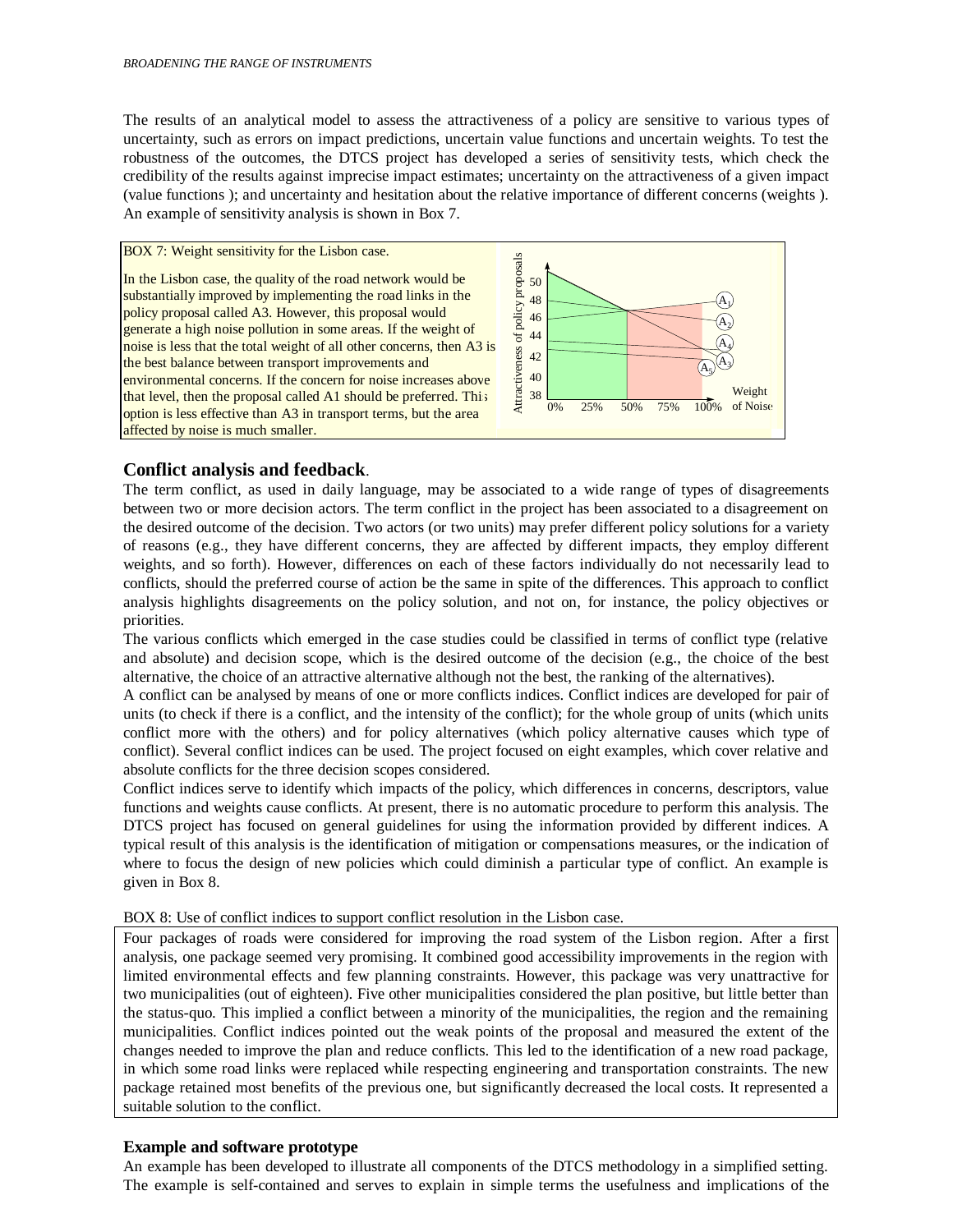The results of an analytical model to assess the attractiveness of a policy are sensitive to various types of uncertainty, such as errors on impact predictions, uncertain value functions and uncertain weights. To test the robustness of the outcomes, the DTCS project has developed a series of sensitivity tests, which check the credibility of the results against imprecise impact estimates; uncertainty on the attractiveness of a given impact (value functions ); and uncertainty and hesitation about the relative importance of different concerns (weights ). An example of sensitivity analysis is shown in Box 7.

#### BOX 7: Weight sensitivity for the Lisbon case.





## **Conflict analysis and feedback**.

The term conflict, as used in daily language, may be associated to a wide range of types of disagreements between two or more decision actors. The term conflict in the project has been associated to a disagreement on the desired outcome of the decision. Two actors (or two units) may prefer different policy solutions for a variety of reasons (e.g., they have different concerns, they are affected by different impacts, they employ different weights, and so forth). However, differences on each of these factors individually do not necessarily lead to conflicts, should the preferred course of action be the same in spite of the differences. This approach to conflict analysis highlights disagreements on the policy solution, and not on, for instance, the policy objectives or priorities.

The various conflicts which emerged in the case studies could be classified in terms of conflict type (relative and absolute) and decision scope, which is the desired outcome of the decision (e.g., the choice of the best alternative, the choice of an attractive alternative although not the best, the ranking of the alternatives).

A conflict can be analysed by means of one or more conflicts indices. Conflict indices are developed for pair of units (to check if there is a conflict, and the intensity of the conflict); for the whole group of units (which units conflict more with the others) and for policy alternatives (which policy alternative causes which type of conflict). Several conflict indices can be used. The project focused on eight examples, which cover relative and absolute conflicts for the three decision scopes considered.

Conflict indices serve to identify which impacts of the policy, which differences in concerns, descriptors, value functions and weights cause conflicts. At present, there is no automatic procedure to perform this analysis. The DTCS project has focused on general guidelines for using the information provided by different indices. A typical result of this analysis is the identification of mitigation or compensations measures, or the indication of where to focus the design of new policies which could diminish a particular type of conflict. An example is given in Box 8.

BOX 8: Use of conflict indices to support conflict resolution in the Lisbon case.

Four packages of roads were considered for improving the road system of the Lisbon region. After a first analysis, one package seemed very promising. It combined good accessibility improvements in the region with limited environmental effects and few planning constraints. However, this package was very unattractive for two municipalities (out of eighteen). Five other municipalities considered the plan positive, but little better than the status-quo. This implied a conflict between a minority of the municipalities, the region and the remaining municipalities. Conflict indices pointed out the weak points of the proposal and measured the extent of the changes needed to improve the plan and reduce conflicts. This led to the identification of a new road package, in which some road links were replaced while respecting engineering and transportation constraints. The new package retained most benefits of the previous one, but significantly decreased the local costs. It represented a suitable solution to the conflict.

## **Example and software prototype**

An example has been developed to illustrate all components of the DTCS methodology in a simplified setting. The example is self-contained and serves to explain in simple terms the usefulness and implications of the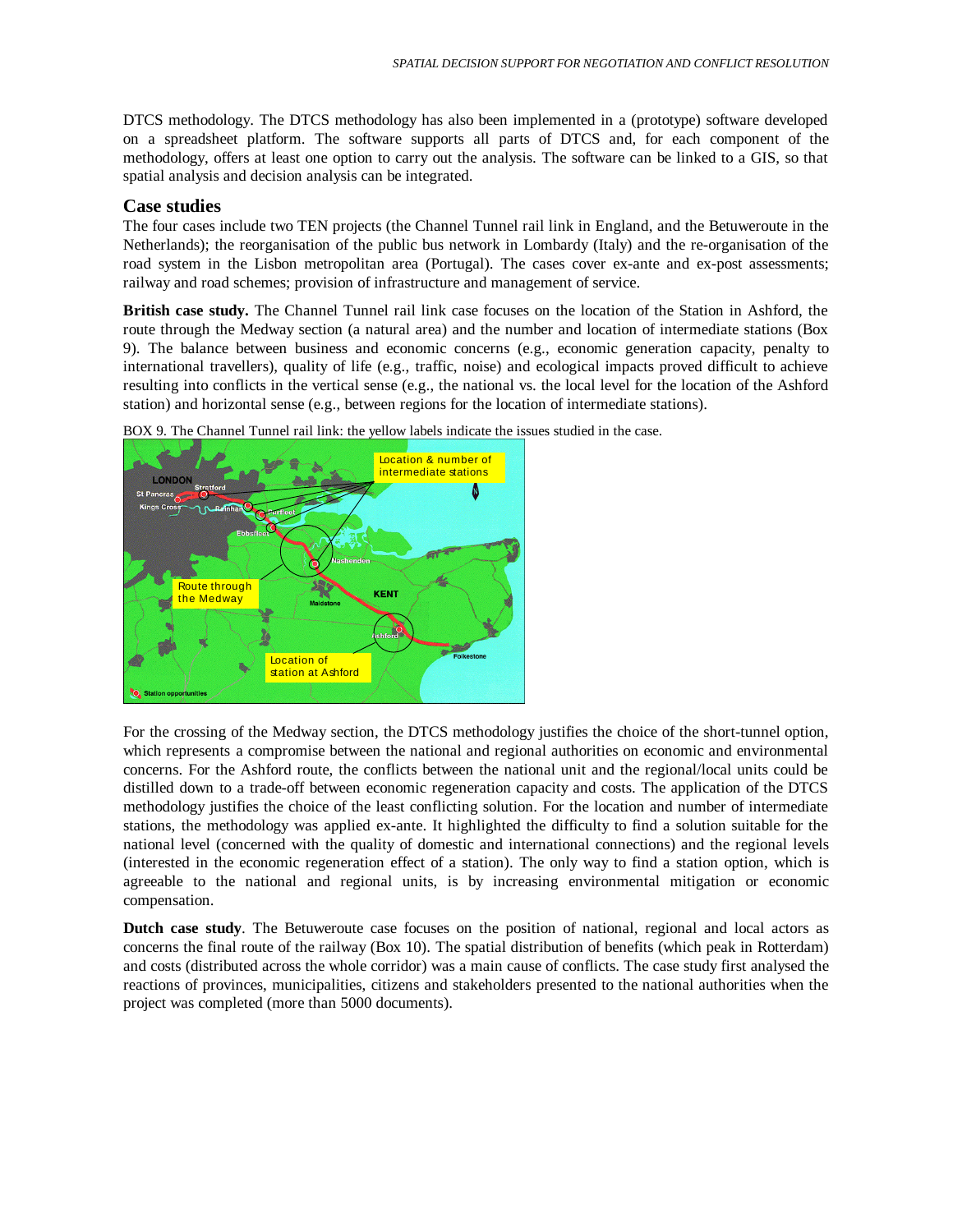DTCS methodology. The DTCS methodology has also been implemented in a (prototype) software developed on a spreadsheet platform. The software supports all parts of DTCS and, for each component of the methodology, offers at least one option to carry out the analysis. The software can be linked to a GIS, so that spatial analysis and decision analysis can be integrated.

#### **Case studies**

The four cases include two TEN projects (the Channel Tunnel rail link in England, and the Betuweroute in the Netherlands); the reorganisation of the public bus network in Lombardy (Italy) and the re-organisation of the road system in the Lisbon metropolitan area (Portugal). The cases cover ex-ante and ex-post assessments; railway and road schemes; provision of infrastructure and management of service.

**British case study.** The Channel Tunnel rail link case focuses on the location of the Station in Ashford, the route through the Medway section (a natural area) and the number and location of intermediate stations (Box 9). The balance between business and economic concerns (e.g., economic generation capacity, penalty to international travellers), quality of life (e.g., traffic, noise) and ecological impacts proved difficult to achieve resulting into conflicts in the vertical sense (e.g., the national vs. the local level for the location of the Ashford station) and horizontal sense (e.g., between regions for the location of intermediate stations).



BOX 9. The Channel Tunnel rail link: the yellow labels indicate the issues studied in the case.

For the crossing of the Medway section, the DTCS methodology justifies the choice of the short-tunnel option, which represents a compromise between the national and regional authorities on economic and environmental concerns. For the Ashford route, the conflicts between the national unit and the regional/local units could be distilled down to a trade-off between economic regeneration capacity and costs. The application of the DTCS methodology justifies the choice of the least conflicting solution. For the location and number of intermediate stations, the methodology was applied ex-ante. It highlighted the difficulty to find a solution suitable for the national level (concerned with the quality of domestic and international connections) and the regional levels (interested in the economic regeneration effect of a station). The only way to find a station option, which is agreeable to the national and regional units, is by increasing environmental mitigation or economic compensation.

**Dutch case study**. The Betuweroute case focuses on the position of national, regional and local actors as concerns the final route of the railway (Box 10). The spatial distribution of benefits (which peak in Rotterdam) and costs (distributed across the whole corridor) was a main cause of conflicts. The case study first analysed the reactions of provinces, municipalities, citizens and stakeholders presented to the national authorities when the project was completed (more than 5000 documents).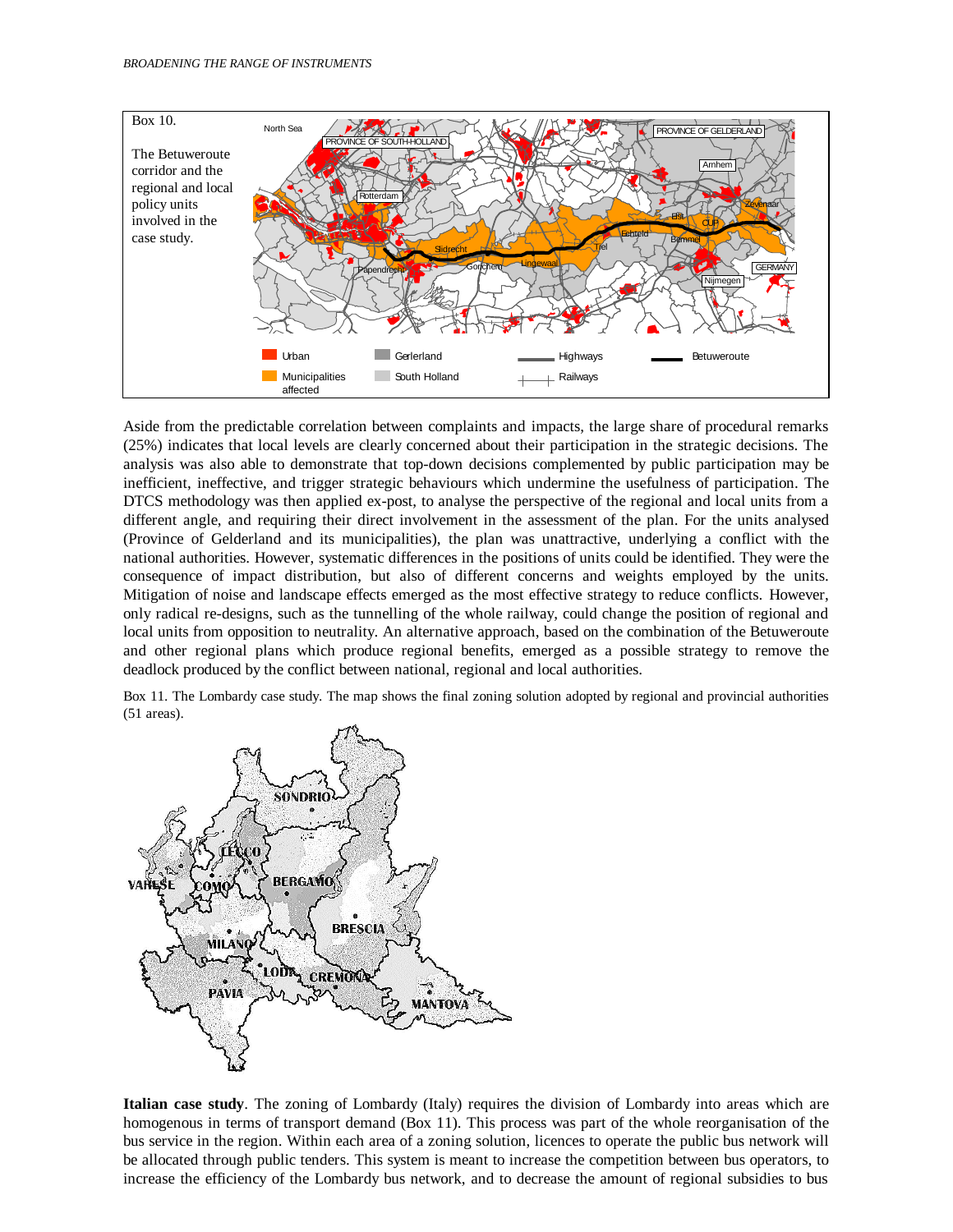

Aside from the predictable correlation between complaints and impacts, the large share of procedural remarks (25%) indicates that local levels are clearly concerned about their participation in the strategic decisions. The analysis was also able to demonstrate that top-down decisions complemented by public participation may be inefficient, ineffective, and trigger strategic behaviours which undermine the usefulness of participation. The DTCS methodology was then applied ex-post, to analyse the perspective of the regional and local units from a different angle, and requiring their direct involvement in the assessment of the plan. For the units analysed (Province of Gelderland and its municipalities), the plan was unattractive, underlying a conflict with the national authorities. However, systematic differences in the positions of units could be identified. They were the consequence of impact distribution, but also of different concerns and weights employed by the units. Mitigation of noise and landscape effects emerged as the most effective strategy to reduce conflicts. However, only radical re-designs, such as the tunnelling of the whole railway, could change the position of regional and local units from opposition to neutrality. An alternative approach, based on the combination of the Betuweroute and other regional plans which produce regional benefits, emerged as a possible strategy to remove the deadlock produced by the conflict between national, regional and local authorities.

Box 11. The Lombardy case study. The map shows the final zoning solution adopted by regional and provincial authorities (51 areas).



**Italian case study**. The zoning of Lombardy (Italy) requires the division of Lombardy into areas which are homogenous in terms of transport demand (Box 11). This process was part of the whole reorganisation of the bus service in the region. Within each area of a zoning solution, licences to operate the public bus network will be allocated through public tenders. This system is meant to increase the competition between bus operators, to increase the efficiency of the Lombardy bus network, and to decrease the amount of regional subsidies to bus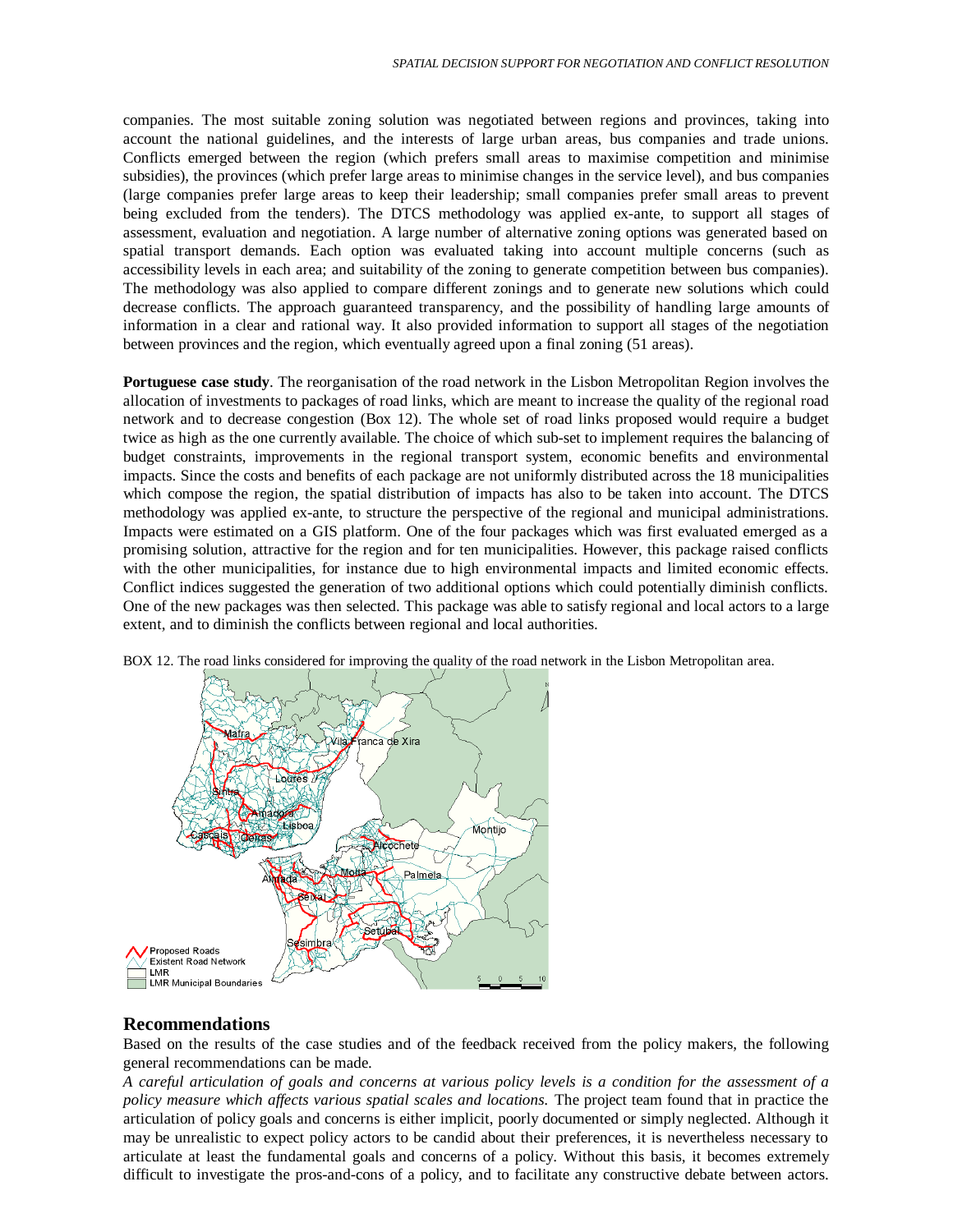companies. The most suitable zoning solution was negotiated between regions and provinces, taking into account the national guidelines, and the interests of large urban areas, bus companies and trade unions. Conflicts emerged between the region (which prefers small areas to maximise competition and minimise subsidies), the provinces (which prefer large areas to minimise changes in the service level), and bus companies (large companies prefer large areas to keep their leadership; small companies prefer small areas to prevent being excluded from the tenders). The DTCS methodology was applied ex-ante, to support all stages of assessment, evaluation and negotiation. A large number of alternative zoning options was generated based on spatial transport demands. Each option was evaluated taking into account multiple concerns (such as accessibility levels in each area; and suitability of the zoning to generate competition between bus companies). The methodology was also applied to compare different zonings and to generate new solutions which could decrease conflicts. The approach guaranteed transparency, and the possibility of handling large amounts of information in a clear and rational way. It also provided information to support all stages of the negotiation between provinces and the region, which eventually agreed upon a final zoning (51 areas).

**Portuguese case study**. The reorganisation of the road network in the Lisbon Metropolitan Region involves the allocation of investments to packages of road links, which are meant to increase the quality of the regional road network and to decrease congestion (Box 12). The whole set of road links proposed would require a budget twice as high as the one currently available. The choice of which sub-set to implement requires the balancing of budget constraints, improvements in the regional transport system, economic benefits and environmental impacts. Since the costs and benefits of each package are not uniformly distributed across the 18 municipalities which compose the region, the spatial distribution of impacts has also to be taken into account. The DTCS methodology was applied ex-ante, to structure the perspective of the regional and municipal administrations. Impacts were estimated on a GIS platform. One of the four packages which was first evaluated emerged as a promising solution, attractive for the region and for ten municipalities. However, this package raised conflicts with the other municipalities, for instance due to high environmental impacts and limited economic effects. Conflict indices suggested the generation of two additional options which could potentially diminish conflicts. One of the new packages was then selected. This package was able to satisfy regional and local actors to a large extent, and to diminish the conflicts between regional and local authorities.



BOX 12. The road links considered for improving the quality of the road network in the Lisbon Metropolitan area.

## **Recommendations**

Based on the results of the case studies and of the feedback received from the policy makers, the following general recommendations can be made.

*A careful articulation of goals and concerns at various policy levels is a condition for the assessment of a policy measure which affects various spatial scales and locations.* The project team found that in practice the articulation of policy goals and concerns is either implicit, poorly documented or simply neglected. Although it may be unrealistic to expect policy actors to be candid about their preferences, it is nevertheless necessary to articulate at least the fundamental goals and concerns of a policy. Without this basis, it becomes extremely difficult to investigate the pros-and-cons of a policy, and to facilitate any constructive debate between actors.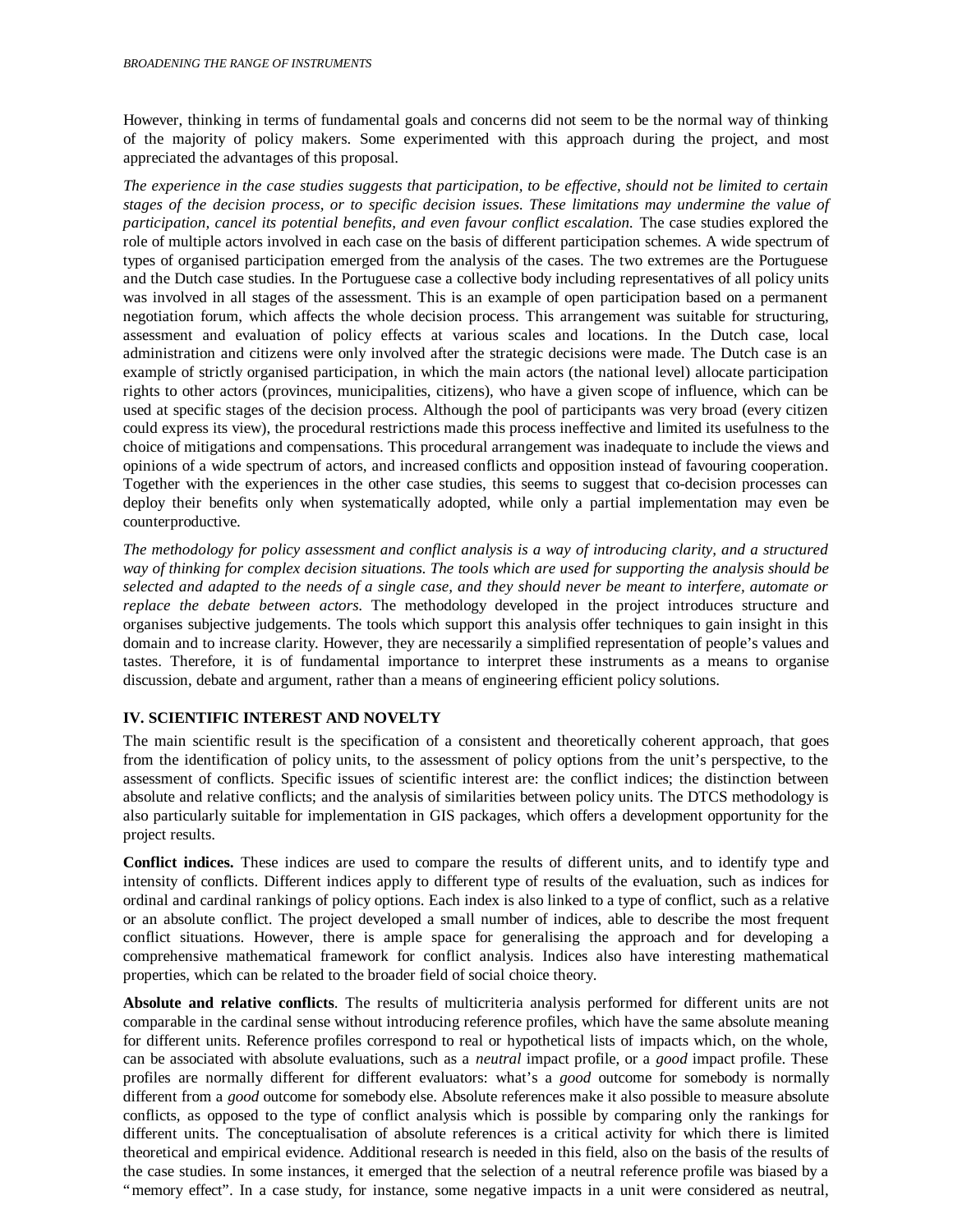However, thinking in terms of fundamental goals and concerns did not seem to be the normal way of thinking of the majority of policy makers. Some experimented with this approach during the project, and most appreciated the advantages of this proposal.

*The experience in the case studies suggests that participation, to be effective, should not be limited to certain stages of the decision process, or to specific decision issues. These limitations may undermine the value of participation, cancel its potential benefits, and even favour conflict escalation.* The case studies explored the role of multiple actors involved in each case on the basis of different participation schemes. A wide spectrum of types of organised participation emerged from the analysis of the cases. The two extremes are the Portuguese and the Dutch case studies. In the Portuguese case a collective body including representatives of all policy units was involved in all stages of the assessment. This is an example of open participation based on a permanent negotiation forum, which affects the whole decision process. This arrangement was suitable for structuring, assessment and evaluation of policy effects at various scales and locations. In the Dutch case, local administration and citizens were only involved after the strategic decisions were made. The Dutch case is an example of strictly organised participation, in which the main actors (the national level) allocate participation rights to other actors (provinces, municipalities, citizens), who have a given scope of influence, which can be used at specific stages of the decision process. Although the pool of participants was very broad (every citizen could express its view), the procedural restrictions made this process ineffective and limited its usefulness to the choice of mitigations and compensations. This procedural arrangement was inadequate to include the views and opinions of a wide spectrum of actors, and increased conflicts and opposition instead of favouring cooperation. Together with the experiences in the other case studies, this seems to suggest that co-decision processes can deploy their benefits only when systematically adopted, while only a partial implementation may even be counterproductive.

*The methodology for policy assessment and conflict analysis is a way of introducing clarity, and a structured way of thinking for complex decision situations. The tools which are used for supporting the analysis should be selected and adapted to the needs of a single case, and they should never be meant to interfere, automate or replace the debate between actors.* The methodology developed in the project introduces structure and organises subjective judgements. The tools which support this analysis offer techniques to gain insight in this domain and to increase clarity. However, they are necessarily a simplified representation of people's values and tastes. Therefore, it is of fundamental importance to interpret these instruments as a means to organise discussion, debate and argument, rather than a means of engineering efficient policy solutions.

## **IV. SCIENTIFIC INTEREST AND NOVELTY**

The main scientific result is the specification of a consistent and theoretically coherent approach, that goes from the identification of policy units, to the assessment of policy options from the unit's perspective, to the assessment of conflicts. Specific issues of scientific interest are: the conflict indices; the distinction between absolute and relative conflicts; and the analysis of similarities between policy units. The DTCS methodology is also particularly suitable for implementation in GIS packages, which offers a development opportunity for the project results.

**Conflict indices.** These indices are used to compare the results of different units, and to identify type and intensity of conflicts. Different indices apply to different type of results of the evaluation, such as indices for ordinal and cardinal rankings of policy options. Each index is also linked to a type of conflict, such as a relative or an absolute conflict. The project developed a small number of indices, able to describe the most frequent conflict situations. However, there is ample space for generalising the approach and for developing a comprehensive mathematical framework for conflict analysis. Indices also have interesting mathematical properties, which can be related to the broader field of social choice theory.

**Absolute and relative conflicts**. The results of multicriteria analysis performed for different units are not comparable in the cardinal sense without introducing reference profiles, which have the same absolute meaning for different units. Reference profiles correspond to real or hypothetical lists of impacts which, on the whole, can be associated with absolute evaluations, such as a *neutral* impact profile, or a *good* impact profile. These profiles are normally different for different evaluators: what's a *good* outcome for somebody is normally different from a *good* outcome for somebody else. Absolute references make it also possible to measure absolute conflicts, as opposed to the type of conflict analysis which is possible by comparing only the rankings for different units. The conceptualisation of absolute references is a critical activity for which there is limited theoretical and empirical evidence. Additional research is needed in this field, also on the basis of the results of the case studies. In some instances, it emerged that the selection of a neutral reference profile was biased by a "memory effect". In a case study, for instance, some negative impacts in a unit were considered as neutral,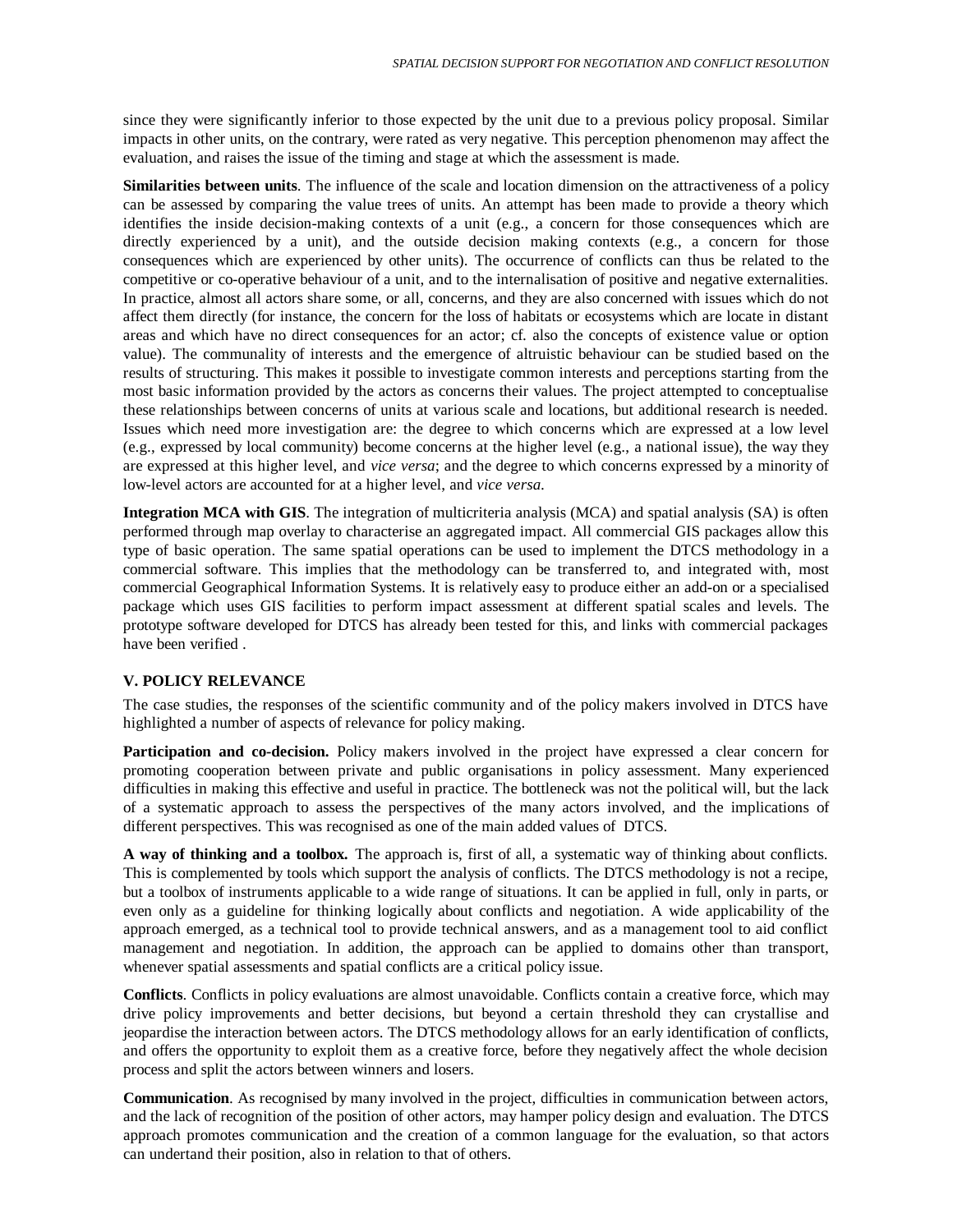since they were significantly inferior to those expected by the unit due to a previous policy proposal. Similar impacts in other units, on the contrary, were rated as very negative. This perception phenomenon may affect the evaluation, and raises the issue of the timing and stage at which the assessment is made.

**Similarities between units**. The influence of the scale and location dimension on the attractiveness of a policy can be assessed by comparing the value trees of units. An attempt has been made to provide a theory which identifies the inside decision-making contexts of a unit (e.g., a concern for those consequences which are directly experienced by a unit), and the outside decision making contexts (e.g., a concern for those consequences which are experienced by other units). The occurrence of conflicts can thus be related to the competitive or co-operative behaviour of a unit, and to the internalisation of positive and negative externalities. In practice, almost all actors share some, or all, concerns, and they are also concerned with issues which do not affect them directly (for instance, the concern for the loss of habitats or ecosystems which are locate in distant areas and which have no direct consequences for an actor; cf. also the concepts of existence value or option value). The communality of interests and the emergence of altruistic behaviour can be studied based on the results of structuring. This makes it possible to investigate common interests and perceptions starting from the most basic information provided by the actors as concerns their values. The project attempted to conceptualise these relationships between concerns of units at various scale and locations, but additional research is needed. Issues which need more investigation are: the degree to which concerns which are expressed at a low level (e.g., expressed by local community) become concerns at the higher level (e.g., a national issue), the way they are expressed at this higher level, and *vice versa*; and the degree to which concerns expressed by a minority of low-level actors are accounted for at a higher level, and *vice versa.*

**Integration MCA with GIS**. The integration of multicriteria analysis (MCA) and spatial analysis (SA) is often performed through map overlay to characterise an aggregated impact. All commercial GIS packages allow this type of basic operation. The same spatial operations can be used to implement the DTCS methodology in a commercial software. This implies that the methodology can be transferred to, and integrated with, most commercial Geographical Information Systems. It is relatively easy to produce either an add-on or a specialised package which uses GIS facilities to perform impact assessment at different spatial scales and levels. The prototype software developed for DTCS has already been tested for this, and links with commercial packages have been verified .

#### **V. POLICY RELEVANCE**

The case studies, the responses of the scientific community and of the policy makers involved in DTCS have highlighted a number of aspects of relevance for policy making.

**Participation and co-decision.** Policy makers involved in the project have expressed a clear concern for promoting cooperation between private and public organisations in policy assessment. Many experienced difficulties in making this effective and useful in practice. The bottleneck was not the political will, but the lack of a systematic approach to assess the perspectives of the many actors involved, and the implications of different perspectives. This was recognised as one of the main added values of DTCS.

**A way of thinking and a toolbox.** The approach is, first of all, a systematic way of thinking about conflicts. This is complemented by tools which support the analysis of conflicts. The DTCS methodology is not a recipe, but a toolbox of instruments applicable to a wide range of situations. It can be applied in full, only in parts, or even only as a guideline for thinking logically about conflicts and negotiation. A wide applicability of the approach emerged, as a technical tool to provide technical answers, and as a management tool to aid conflict management and negotiation. In addition, the approach can be applied to domains other than transport, whenever spatial assessments and spatial conflicts are a critical policy issue.

**Conflicts**. Conflicts in policy evaluations are almost unavoidable. Conflicts contain a creative force, which may drive policy improvements and better decisions, but beyond a certain threshold they can crystallise and jeopardise the interaction between actors. The DTCS methodology allows for an early identification of conflicts, and offers the opportunity to exploit them as a creative force, before they negatively affect the whole decision process and split the actors between winners and losers.

**Communication**. As recognised by many involved in the project, difficulties in communication between actors, and the lack of recognition of the position of other actors, may hamper policy design and evaluation. The DTCS approach promotes communication and the creation of a common language for the evaluation, so that actors can undertand their position, also in relation to that of others.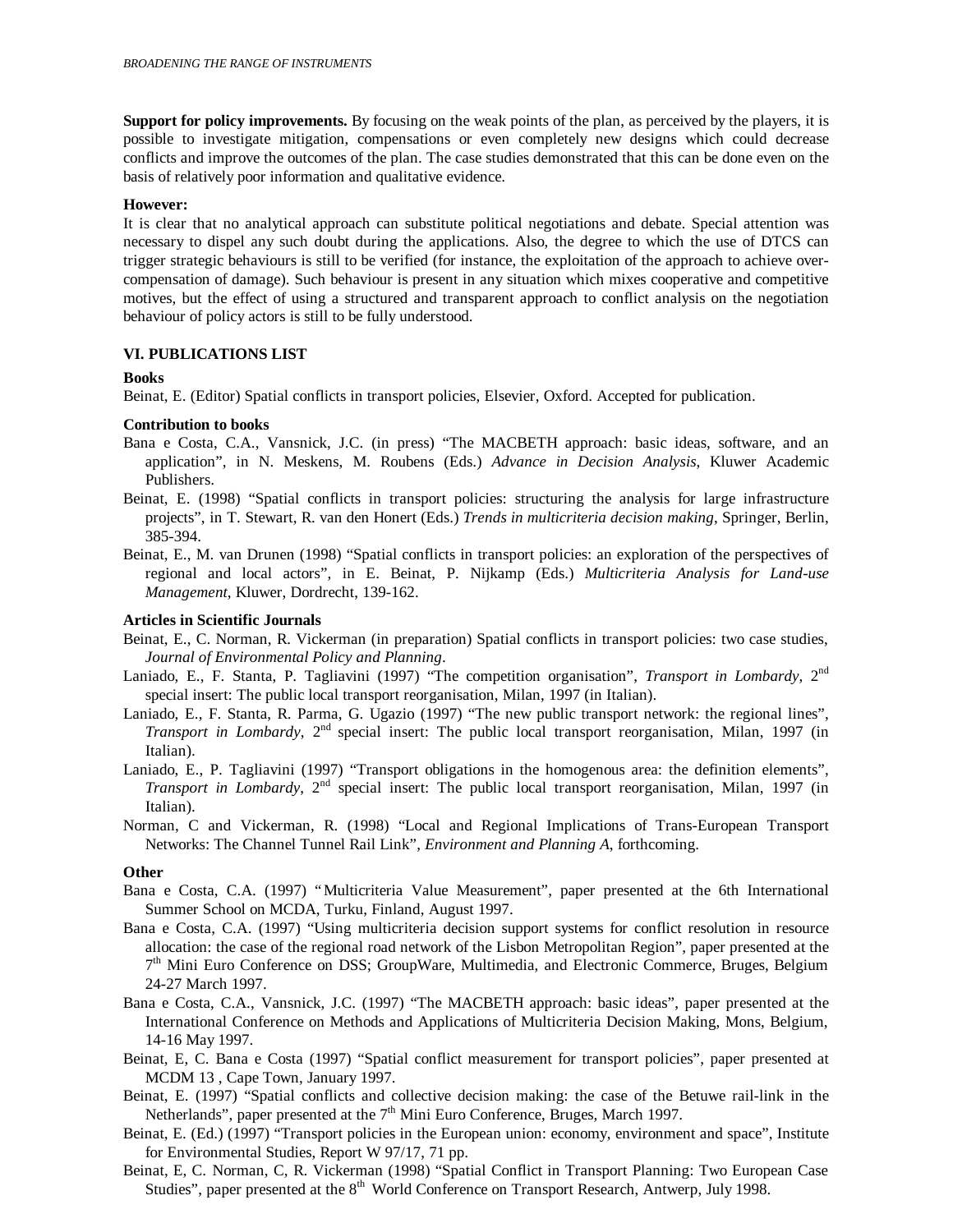**Support for policy improvements.** By focusing on the weak points of the plan, as perceived by the players, it is possible to investigate mitigation, compensations or even completely new designs which could decrease conflicts and improve the outcomes of the plan. The case studies demonstrated that this can be done even on the basis of relatively poor information and qualitative evidence.

### **However:**

It is clear that no analytical approach can substitute political negotiations and debate. Special attention was necessary to dispel any such doubt during the applications. Also, the degree to which the use of DTCS can trigger strategic behaviours is still to be verified (for instance, the exploitation of the approach to achieve overcompensation of damage). Such behaviour is present in any situation which mixes cooperative and competitive motives, but the effect of using a structured and transparent approach to conflict analysis on the negotiation behaviour of policy actors is still to be fully understood.

## **VI. PUBLICATIONS LIST**

#### **Books**

Beinat, E. (Editor) Spatial conflicts in transport policies, Elsevier, Oxford. Accepted for publication.

## **Contribution to books**

- Bana e Costa, C.A., Vansnick, J.C. (in press) "The MACBETH approach: basic ideas, software, and an application", in N. Meskens, M. Roubens (Eds.) *Advance in Decision Analysis*, Kluwer Academic Publishers.
- Beinat, E. (1998) "Spatial conflicts in transport policies: structuring the analysis for large infrastructure projects", in T. Stewart, R. van den Honert (Eds.) *Trends in multicriteria decision making*, Springer, Berlin, 385-394.
- Beinat, E., M. van Drunen (1998) "Spatial conflicts in transport policies: an exploration of the perspectives of regional and local actors", in E. Beinat, P. Nijkamp (Eds.) *Multicriteria Analysis for Land-use Management*, Kluwer, Dordrecht, 139-162.

### **Articles in Scientific Journals**

- Beinat, E., C. Norman, R. Vickerman (in preparation) Spatial conflicts in transport policies: two case studies, *Journal of Environmental Policy and Planning*.
- Laniado, E., F. Stanta, P. Tagliavini (1997) "The competition organisation", *Transport in Lombardy*, 2<sup>nd</sup> special insert: The public local transport reorganisation, Milan, 1997 (in Italian).
- Laniado, E., F. Stanta, R. Parma, G. Ugazio (1997) "The new public transport network: the regional lines", *Transport in Lombardy*, 2<sup>nd</sup> special insert: The public local transport reorganisation, Milan, 1997 (in Italian).
- Laniado, E., P. Tagliavini (1997) "Transport obligations in the homogenous area: the definition elements", *Transport in Lombardy*, 2<sup>nd</sup> special insert: The public local transport reorganisation, Milan, 1997 (in Italian).
- Norman, C and Vickerman, R. (1998) "Local and Regional Implications of Trans-European Transport Networks: The Channel Tunnel Rail Link", *Environment and Planning A*, forthcoming.

#### **Other**

- Bana e Costa, C.A. (1997) "Multicriteria Value Measurement", paper presented at the 6th International Summer School on MCDA, Turku, Finland, August 1997.
- Bana e Costa, C.A. (1997) "Using multicriteria decision support systems for conflict resolution in resource allocation: the case of the regional road network of the Lisbon Metropolitan Region", paper presented at the 7<sup>th</sup> Mini Euro Conference on DSS; GroupWare, Multimedia, and Electronic Commerce, Bruges, Belgium 24-27 March 1997.
- Bana e Costa, C.A., Vansnick, J.C. (1997) "The MACBETH approach: basic ideas", paper presented at the International Conference on Methods and Applications of Multicriteria Decision Making, Mons, Belgium, 14-16 May 1997.
- Beinat, E, C. Bana e Costa (1997) "Spatial conflict measurement for transport policies", paper presented at MCDM 13 , Cape Town, January 1997.
- Beinat, E. (1997) "Spatial conflicts and collective decision making: the case of the Betuwe rail-link in the Netherlands", paper presented at the  $7<sup>th</sup>$  Mini Euro Conference, Bruges, March 1997.
- Beinat, E. (Ed.) (1997) "Transport policies in the European union: economy, environment and space", Institute for Environmental Studies, Report W 97/17, 71 pp.
- Beinat, E, C. Norman, C, R. Vickerman (1998) "Spatial Conflict in Transport Planning: Two European Case Studies", paper presented at the 8<sup>th</sup> World Conference on Transport Research, Antwerp, July 1998.